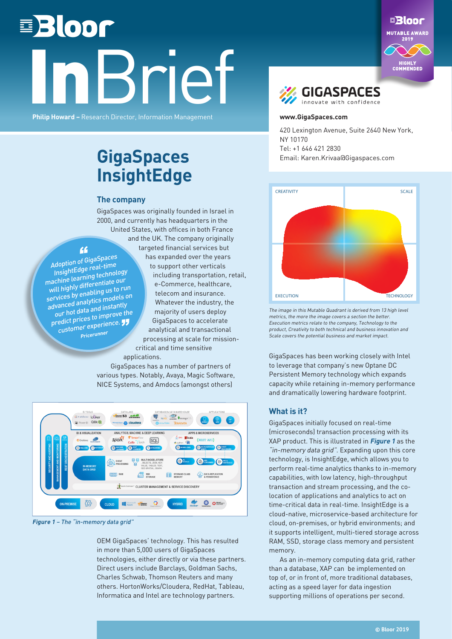# **■Bloor Brief**

**Philip Howard –** Research Director, Information Management





#### **www.GigaSpaces.co[m](https://www.gigaspaces.com/)**

420 Lexington Avenue, Suite 2640 New York, NY 10170 Tel: +1 646 421 2830 Email: Karen.Krivaa@Gigaspaces.com



The image in this Mutable Quadrant is derived from 13 high level metrics, the more the image covers a section the better. Execution metrics relate to the company, Technology to the product, Creativity to both technical and business innovation and Scale covers the potential business and market impact.

GigaSpaces has been working closely with Intel to leverage that company's new Optane DC Persistent Memory technology which expands capacity while retaining in-memory performance and dramatically lowering hardware footprint.

#### **What is it?**

GigaSpaces initially focused on real-time (microseconds) transaction processing with its XAP product. This is illustrated in **Figure 1** as the "in-memory data grid". Expanding upon this core technology, is InsightEdge, which allows you to perform real-time analytics thanks to in-memory capabilities, with low latency, high-throughput transaction and stream processing, and the colocation of applications and analytics to act on time-critical data in real-time. InsightEdge is a cloud-native, microservice-based architecture for cloud, on-premises, or hybrid environments; and it supports intelligent, multi-tiered storage across RAM, SSD, storage class memory and persistent memory.

As an in-memory computing data grid, rather than a database, XAP can be implemented on top of, or in front of, more traditional databases, acting as a speed layer for data ingestion supporting millions of operations per second.

### **GigaSpaces InsightEdge**

#### **The company**

GigaSpaces was originally founded in Israel in 2000, and currently has headquarters in the United States, with offices in both France and the UK. The company originally targeted financial services but has expanded over the years to support other verticals including transportation, retail, e-Commerce, healthcare, telecom and insurance. Whatever the industry, the majority of users deploy GigaSpaces to accelerate analytical and transactional processing at scale for missioncritical and time sensitive

"Adoption of GigaSpaces InsightEdge real-time machine learning technology will highly differentiate our services by enabling us to run advanced analytics models on our hot data and instantly our hot data are m<br>predict prices to improve the<br>experience. edict.pr.c.<br><sub>C</sub>ustomer experience.! **Pricerunner**

> GigaSpaces has a number of partners of various types. Notably, Avaya, Magic Software, NICE Systems, and Amdocs (amongst others)



applications.

**Figure 1** – The "in-memory data grid"

OEM GigaSpaces' technology. This has resulted in more than 5,000 users of GigaSpaces technologies, either directly or via these partners. Direct users include Barclays, Goldman Sachs, Charles Schwab, Thomson Reuters and many others. HortonWorks/Cloudera, RedHat, Tableau, Informatica and Intel are technology partners.